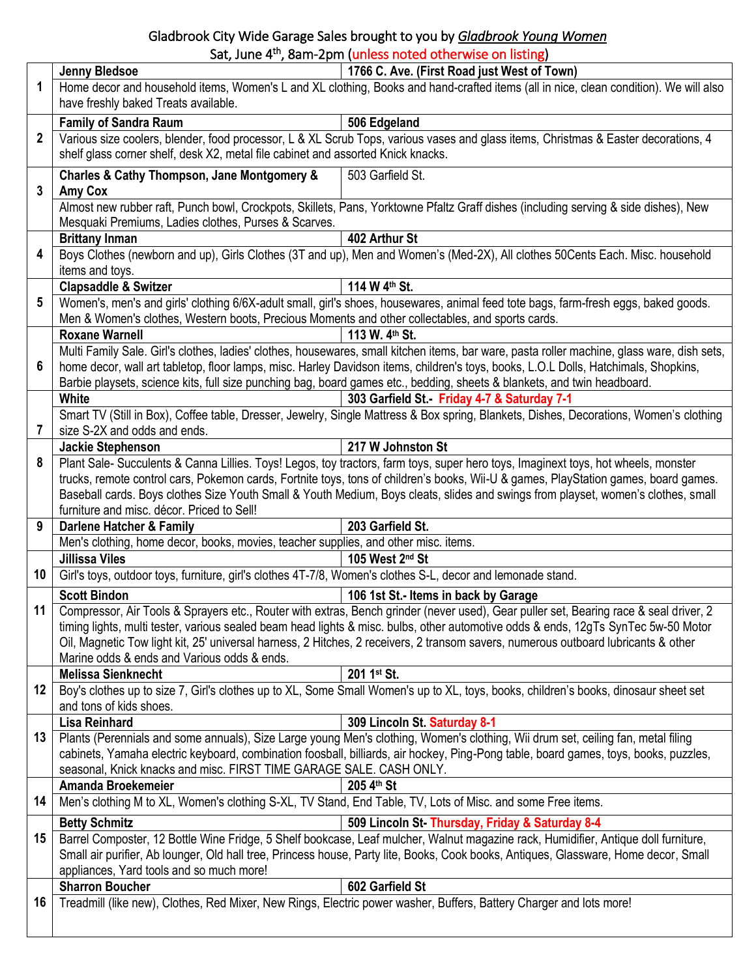## Gladbrook City Wide Garage Sales brought to you by *Gladbrook Young Women* Sat, June 4<sup>th</sup>, 8am-2pm (unless noted otherwise on listing)

| Home decor and household items, Women's L and XL clothing, Books and hand-crafted items (all in nice, clean condition). We will also<br>1<br>have freshly baked Treats available.<br><b>Family of Sandra Raum</b><br>506 Edgeland<br>Various size coolers, blender, food processor, L & XL Scrub Tops, various vases and glass items, Christmas & Easter decorations, 4<br>2<br>shelf glass corner shelf, desk X2, metal file cabinet and assorted Knick knacks.<br>Charles & Cathy Thompson, Jane Montgomery &<br>503 Garfield St.<br>$\mathbf{3}$<br><b>Amy Cox</b><br>Almost new rubber raft, Punch bowl, Crockpots, Skillets, Pans, Yorktowne Pfaltz Graff dishes (including serving & side dishes), New<br>Mesquaki Premiums, Ladies clothes, Purses & Scarves.<br>402 Arthur St<br><b>Brittany Inman</b><br>Boys Clothes (newborn and up), Girls Clothes (3T and up), Men and Women's (Med-2X), All clothes 50Cents Each. Misc. household<br>4<br>items and toys.<br>114 W 4th St.<br><b>Clapsaddle &amp; Switzer</b><br>Women's, men's and girls' clothing 6/6X-adult small, girl's shoes, housewares, animal feed tote bags, farm-fresh eggs, baked goods.<br>5<br>Men & Women's clothes, Western boots, Precious Moments and other collectables, and sports cards.<br><b>Roxane Warnell</b><br>113 W. 4th St.<br>Multi Family Sale. Girl's clothes, ladies' clothes, housewares, small kitchen items, bar ware, pasta roller machine, glass ware, dish sets,<br>6<br>home decor, wall art tabletop, floor lamps, misc. Harley Davidson items, children's toys, books, L.O.L Dolls, Hatchimals, Shopkins,<br>Barbie playsets, science kits, full size punching bag, board games etc., bedding, sheets & blankets, and twin headboard.<br><b>White</b><br>303 Garfield St. - Friday 4-7 & Saturday 7-1<br>Smart TV (Still in Box), Coffee table, Dresser, Jewelry, Single Mattress & Box spring, Blankets, Dishes, Decorations, Women's clothing<br>7<br>size S-2X and odds and ends.<br>217 W Johnston St<br>Jackie Stephenson<br>Plant Sale-Succulents & Canna Lillies. Toys! Legos, toy tractors, farm toys, super hero toys, Imaginext toys, hot wheels, monster<br>8<br>trucks, remote control cars, Pokemon cards, Fortnite toys, tons of children's books, Wii-U & games, PlayStation games, board games.<br>Baseball cards. Boys clothes Size Youth Small & Youth Medium, Boys cleats, slides and swings from playset, women's clothes, small<br>furniture and misc. décor. Priced to Sell!<br>9<br><b>Darlene Hatcher &amp; Family</b><br>203 Garfield St.<br>Men's clothing, home decor, books, movies, teacher supplies, and other misc. items.<br><b>Jillissa Viles</b><br>105 West 2nd St<br>Girl's toys, outdoor toys, furniture, girl's clothes 4T-7/8, Women's clothes S-L, decor and lemonade stand.<br>10<br><b>Scott Bindon</b><br>106 1st St.- Items in back by Garage<br>Compressor, Air Tools & Sprayers etc., Router with extras, Bench grinder (never used), Gear puller set, Bearing race & seal driver, 2<br>11  <br>timing lights, multi tester, various sealed beam head lights & misc. bulbs, other automotive odds & ends, 12gTs SynTec 5w-50 Motor<br>Oil, Magnetic Tow light kit, 25' universal harness, 2 Hitches, 2 receivers, 2 transom savers, numerous outboard lubricants & other<br>Marine odds & ends and Various odds & ends.<br><b>Melissa Sienknecht</b><br>201 1st St.<br>Boy's clothes up to size 7, Girl's clothes up to XL, Some Small Women's up to XL, toys, books, children's books, dinosaur sheet set<br>12<br>and tons of kids shoes.<br>309 Lincoln St. Saturday 8-1<br>Lisa Reinhard<br>Plants (Perennials and some annuals), Size Large young Men's clothing, Women's clothing, Wii drum set, ceiling fan, metal filing<br>13<br>cabinets, Yamaha electric keyboard, combination foosball, billiards, air hockey, Ping-Pong table, board games, toys, books, puzzles,<br>seasonal, Knick knacks and misc. FIRST TIME GARAGE SALE. CASH ONLY.<br>Amanda Broekemeier<br>205 4th St<br>Men's clothing M to XL, Women's clothing S-XL, TV Stand, End Table, TV, Lots of Misc. and some Free items.<br>14<br>509 Lincoln St-Thursday, Friday & Saturday 8-4<br><b>Betty Schmitz</b><br>Barrel Composter, 12 Bottle Wine Fridge, 5 Shelf bookcase, Leaf mulcher, Walnut magazine rack, Humidifier, Antique doll furniture,<br>15<br>Small air purifier, Ab lounger, Old hall tree, Princess house, Party lite, Books, Cook books, Antiques, Glassware, Home decor, Small<br>appliances, Yard tools and so much more!<br><b>Sharron Boucher</b><br>602 Garfield St<br>Treadmill (like new), Clothes, Red Mixer, New Rings, Electric power washer, Buffers, Battery Charger and lots more!<br>16 |  | <b>Jenny Bledsoe</b> | 1766 C. Ave. (First Road just West of Town) |  |
|---------------------------------------------------------------------------------------------------------------------------------------------------------------------------------------------------------------------------------------------------------------------------------------------------------------------------------------------------------------------------------------------------------------------------------------------------------------------------------------------------------------------------------------------------------------------------------------------------------------------------------------------------------------------------------------------------------------------------------------------------------------------------------------------------------------------------------------------------------------------------------------------------------------------------------------------------------------------------------------------------------------------------------------------------------------------------------------------------------------------------------------------------------------------------------------------------------------------------------------------------------------------------------------------------------------------------------------------------------------------------------------------------------------------------------------------------------------------------------------------------------------------------------------------------------------------------------------------------------------------------------------------------------------------------------------------------------------------------------------------------------------------------------------------------------------------------------------------------------------------------------------------------------------------------------------------------------------------------------------------------------------------------------------------------------------------------------------------------------------------------------------------------------------------------------------------------------------------------------------------------------------------------------------------------------------------------------------------------------------------------------------------------------------------------------------------------------------------------------------------------------------------------------------------------------------------------------------------------------------------------------------------------------------------------------------------------------------------------------------------------------------------------------------------------------------------------------------------------------------------------------------------------------------------------------------------------------------------------------------------------------------------------------------------------------------------------------------------------------------------------------------------------------------------------------------------------------------------------------------------------------------------------------------------------------------------------------------------------------------------------------------------------------------------------------------------------------------------------------------------------------------------------------------------------------------------------------------------------------------------------------------------------------------------------------------------------------------------------------------------------------------------------------------------------------------------------------------------------------------------------------------------------------------------------------------------------------------------------------------------------------------------------------------------------------------------------------------------------------------------------------------------------------------------------------------------------------------------------------------------------------------------------------------------------------------------------------------------------------------------------------------------------------------------------------------------------------------------------------------------------------------------------------------------------------------------------------------------------------------------------------------------------------------------------------------------------------------------------------------------------------|--|----------------------|---------------------------------------------|--|
|                                                                                                                                                                                                                                                                                                                                                                                                                                                                                                                                                                                                                                                                                                                                                                                                                                                                                                                                                                                                                                                                                                                                                                                                                                                                                                                                                                                                                                                                                                                                                                                                                                                                                                                                                                                                                                                                                                                                                                                                                                                                                                                                                                                                                                                                                                                                                                                                                                                                                                                                                                                                                                                                                                                                                                                                                                                                                                                                                                                                                                                                                                                                                                                                                                                                                                                                                                                                                                                                                                                                                                                                                                                                                                                                                                                                                                                                                                                                                                                                                                                                                                                                                                                                                                                                                                                                                                                                                                                                                                                                                                                                                                                                                                                                                         |  |                      |                                             |  |
|                                                                                                                                                                                                                                                                                                                                                                                                                                                                                                                                                                                                                                                                                                                                                                                                                                                                                                                                                                                                                                                                                                                                                                                                                                                                                                                                                                                                                                                                                                                                                                                                                                                                                                                                                                                                                                                                                                                                                                                                                                                                                                                                                                                                                                                                                                                                                                                                                                                                                                                                                                                                                                                                                                                                                                                                                                                                                                                                                                                                                                                                                                                                                                                                                                                                                                                                                                                                                                                                                                                                                                                                                                                                                                                                                                                                                                                                                                                                                                                                                                                                                                                                                                                                                                                                                                                                                                                                                                                                                                                                                                                                                                                                                                                                                         |  |                      |                                             |  |
|                                                                                                                                                                                                                                                                                                                                                                                                                                                                                                                                                                                                                                                                                                                                                                                                                                                                                                                                                                                                                                                                                                                                                                                                                                                                                                                                                                                                                                                                                                                                                                                                                                                                                                                                                                                                                                                                                                                                                                                                                                                                                                                                                                                                                                                                                                                                                                                                                                                                                                                                                                                                                                                                                                                                                                                                                                                                                                                                                                                                                                                                                                                                                                                                                                                                                                                                                                                                                                                                                                                                                                                                                                                                                                                                                                                                                                                                                                                                                                                                                                                                                                                                                                                                                                                                                                                                                                                                                                                                                                                                                                                                                                                                                                                                                         |  |                      |                                             |  |
|                                                                                                                                                                                                                                                                                                                                                                                                                                                                                                                                                                                                                                                                                                                                                                                                                                                                                                                                                                                                                                                                                                                                                                                                                                                                                                                                                                                                                                                                                                                                                                                                                                                                                                                                                                                                                                                                                                                                                                                                                                                                                                                                                                                                                                                                                                                                                                                                                                                                                                                                                                                                                                                                                                                                                                                                                                                                                                                                                                                                                                                                                                                                                                                                                                                                                                                                                                                                                                                                                                                                                                                                                                                                                                                                                                                                                                                                                                                                                                                                                                                                                                                                                                                                                                                                                                                                                                                                                                                                                                                                                                                                                                                                                                                                                         |  |                      |                                             |  |
|                                                                                                                                                                                                                                                                                                                                                                                                                                                                                                                                                                                                                                                                                                                                                                                                                                                                                                                                                                                                                                                                                                                                                                                                                                                                                                                                                                                                                                                                                                                                                                                                                                                                                                                                                                                                                                                                                                                                                                                                                                                                                                                                                                                                                                                                                                                                                                                                                                                                                                                                                                                                                                                                                                                                                                                                                                                                                                                                                                                                                                                                                                                                                                                                                                                                                                                                                                                                                                                                                                                                                                                                                                                                                                                                                                                                                                                                                                                                                                                                                                                                                                                                                                                                                                                                                                                                                                                                                                                                                                                                                                                                                                                                                                                                                         |  |                      |                                             |  |
|                                                                                                                                                                                                                                                                                                                                                                                                                                                                                                                                                                                                                                                                                                                                                                                                                                                                                                                                                                                                                                                                                                                                                                                                                                                                                                                                                                                                                                                                                                                                                                                                                                                                                                                                                                                                                                                                                                                                                                                                                                                                                                                                                                                                                                                                                                                                                                                                                                                                                                                                                                                                                                                                                                                                                                                                                                                                                                                                                                                                                                                                                                                                                                                                                                                                                                                                                                                                                                                                                                                                                                                                                                                                                                                                                                                                                                                                                                                                                                                                                                                                                                                                                                                                                                                                                                                                                                                                                                                                                                                                                                                                                                                                                                                                                         |  |                      |                                             |  |
|                                                                                                                                                                                                                                                                                                                                                                                                                                                                                                                                                                                                                                                                                                                                                                                                                                                                                                                                                                                                                                                                                                                                                                                                                                                                                                                                                                                                                                                                                                                                                                                                                                                                                                                                                                                                                                                                                                                                                                                                                                                                                                                                                                                                                                                                                                                                                                                                                                                                                                                                                                                                                                                                                                                                                                                                                                                                                                                                                                                                                                                                                                                                                                                                                                                                                                                                                                                                                                                                                                                                                                                                                                                                                                                                                                                                                                                                                                                                                                                                                                                                                                                                                                                                                                                                                                                                                                                                                                                                                                                                                                                                                                                                                                                                                         |  |                      |                                             |  |
|                                                                                                                                                                                                                                                                                                                                                                                                                                                                                                                                                                                                                                                                                                                                                                                                                                                                                                                                                                                                                                                                                                                                                                                                                                                                                                                                                                                                                                                                                                                                                                                                                                                                                                                                                                                                                                                                                                                                                                                                                                                                                                                                                                                                                                                                                                                                                                                                                                                                                                                                                                                                                                                                                                                                                                                                                                                                                                                                                                                                                                                                                                                                                                                                                                                                                                                                                                                                                                                                                                                                                                                                                                                                                                                                                                                                                                                                                                                                                                                                                                                                                                                                                                                                                                                                                                                                                                                                                                                                                                                                                                                                                                                                                                                                                         |  |                      |                                             |  |
|                                                                                                                                                                                                                                                                                                                                                                                                                                                                                                                                                                                                                                                                                                                                                                                                                                                                                                                                                                                                                                                                                                                                                                                                                                                                                                                                                                                                                                                                                                                                                                                                                                                                                                                                                                                                                                                                                                                                                                                                                                                                                                                                                                                                                                                                                                                                                                                                                                                                                                                                                                                                                                                                                                                                                                                                                                                                                                                                                                                                                                                                                                                                                                                                                                                                                                                                                                                                                                                                                                                                                                                                                                                                                                                                                                                                                                                                                                                                                                                                                                                                                                                                                                                                                                                                                                                                                                                                                                                                                                                                                                                                                                                                                                                                                         |  |                      |                                             |  |
|                                                                                                                                                                                                                                                                                                                                                                                                                                                                                                                                                                                                                                                                                                                                                                                                                                                                                                                                                                                                                                                                                                                                                                                                                                                                                                                                                                                                                                                                                                                                                                                                                                                                                                                                                                                                                                                                                                                                                                                                                                                                                                                                                                                                                                                                                                                                                                                                                                                                                                                                                                                                                                                                                                                                                                                                                                                                                                                                                                                                                                                                                                                                                                                                                                                                                                                                                                                                                                                                                                                                                                                                                                                                                                                                                                                                                                                                                                                                                                                                                                                                                                                                                                                                                                                                                                                                                                                                                                                                                                                                                                                                                                                                                                                                                         |  |                      |                                             |  |
|                                                                                                                                                                                                                                                                                                                                                                                                                                                                                                                                                                                                                                                                                                                                                                                                                                                                                                                                                                                                                                                                                                                                                                                                                                                                                                                                                                                                                                                                                                                                                                                                                                                                                                                                                                                                                                                                                                                                                                                                                                                                                                                                                                                                                                                                                                                                                                                                                                                                                                                                                                                                                                                                                                                                                                                                                                                                                                                                                                                                                                                                                                                                                                                                                                                                                                                                                                                                                                                                                                                                                                                                                                                                                                                                                                                                                                                                                                                                                                                                                                                                                                                                                                                                                                                                                                                                                                                                                                                                                                                                                                                                                                                                                                                                                         |  |                      |                                             |  |
|                                                                                                                                                                                                                                                                                                                                                                                                                                                                                                                                                                                                                                                                                                                                                                                                                                                                                                                                                                                                                                                                                                                                                                                                                                                                                                                                                                                                                                                                                                                                                                                                                                                                                                                                                                                                                                                                                                                                                                                                                                                                                                                                                                                                                                                                                                                                                                                                                                                                                                                                                                                                                                                                                                                                                                                                                                                                                                                                                                                                                                                                                                                                                                                                                                                                                                                                                                                                                                                                                                                                                                                                                                                                                                                                                                                                                                                                                                                                                                                                                                                                                                                                                                                                                                                                                                                                                                                                                                                                                                                                                                                                                                                                                                                                                         |  |                      |                                             |  |
|                                                                                                                                                                                                                                                                                                                                                                                                                                                                                                                                                                                                                                                                                                                                                                                                                                                                                                                                                                                                                                                                                                                                                                                                                                                                                                                                                                                                                                                                                                                                                                                                                                                                                                                                                                                                                                                                                                                                                                                                                                                                                                                                                                                                                                                                                                                                                                                                                                                                                                                                                                                                                                                                                                                                                                                                                                                                                                                                                                                                                                                                                                                                                                                                                                                                                                                                                                                                                                                                                                                                                                                                                                                                                                                                                                                                                                                                                                                                                                                                                                                                                                                                                                                                                                                                                                                                                                                                                                                                                                                                                                                                                                                                                                                                                         |  |                      |                                             |  |
|                                                                                                                                                                                                                                                                                                                                                                                                                                                                                                                                                                                                                                                                                                                                                                                                                                                                                                                                                                                                                                                                                                                                                                                                                                                                                                                                                                                                                                                                                                                                                                                                                                                                                                                                                                                                                                                                                                                                                                                                                                                                                                                                                                                                                                                                                                                                                                                                                                                                                                                                                                                                                                                                                                                                                                                                                                                                                                                                                                                                                                                                                                                                                                                                                                                                                                                                                                                                                                                                                                                                                                                                                                                                                                                                                                                                                                                                                                                                                                                                                                                                                                                                                                                                                                                                                                                                                                                                                                                                                                                                                                                                                                                                                                                                                         |  |                      |                                             |  |
|                                                                                                                                                                                                                                                                                                                                                                                                                                                                                                                                                                                                                                                                                                                                                                                                                                                                                                                                                                                                                                                                                                                                                                                                                                                                                                                                                                                                                                                                                                                                                                                                                                                                                                                                                                                                                                                                                                                                                                                                                                                                                                                                                                                                                                                                                                                                                                                                                                                                                                                                                                                                                                                                                                                                                                                                                                                                                                                                                                                                                                                                                                                                                                                                                                                                                                                                                                                                                                                                                                                                                                                                                                                                                                                                                                                                                                                                                                                                                                                                                                                                                                                                                                                                                                                                                                                                                                                                                                                                                                                                                                                                                                                                                                                                                         |  |                      |                                             |  |
|                                                                                                                                                                                                                                                                                                                                                                                                                                                                                                                                                                                                                                                                                                                                                                                                                                                                                                                                                                                                                                                                                                                                                                                                                                                                                                                                                                                                                                                                                                                                                                                                                                                                                                                                                                                                                                                                                                                                                                                                                                                                                                                                                                                                                                                                                                                                                                                                                                                                                                                                                                                                                                                                                                                                                                                                                                                                                                                                                                                                                                                                                                                                                                                                                                                                                                                                                                                                                                                                                                                                                                                                                                                                                                                                                                                                                                                                                                                                                                                                                                                                                                                                                                                                                                                                                                                                                                                                                                                                                                                                                                                                                                                                                                                                                         |  |                      |                                             |  |
|                                                                                                                                                                                                                                                                                                                                                                                                                                                                                                                                                                                                                                                                                                                                                                                                                                                                                                                                                                                                                                                                                                                                                                                                                                                                                                                                                                                                                                                                                                                                                                                                                                                                                                                                                                                                                                                                                                                                                                                                                                                                                                                                                                                                                                                                                                                                                                                                                                                                                                                                                                                                                                                                                                                                                                                                                                                                                                                                                                                                                                                                                                                                                                                                                                                                                                                                                                                                                                                                                                                                                                                                                                                                                                                                                                                                                                                                                                                                                                                                                                                                                                                                                                                                                                                                                                                                                                                                                                                                                                                                                                                                                                                                                                                                                         |  |                      |                                             |  |
|                                                                                                                                                                                                                                                                                                                                                                                                                                                                                                                                                                                                                                                                                                                                                                                                                                                                                                                                                                                                                                                                                                                                                                                                                                                                                                                                                                                                                                                                                                                                                                                                                                                                                                                                                                                                                                                                                                                                                                                                                                                                                                                                                                                                                                                                                                                                                                                                                                                                                                                                                                                                                                                                                                                                                                                                                                                                                                                                                                                                                                                                                                                                                                                                                                                                                                                                                                                                                                                                                                                                                                                                                                                                                                                                                                                                                                                                                                                                                                                                                                                                                                                                                                                                                                                                                                                                                                                                                                                                                                                                                                                                                                                                                                                                                         |  |                      |                                             |  |
|                                                                                                                                                                                                                                                                                                                                                                                                                                                                                                                                                                                                                                                                                                                                                                                                                                                                                                                                                                                                                                                                                                                                                                                                                                                                                                                                                                                                                                                                                                                                                                                                                                                                                                                                                                                                                                                                                                                                                                                                                                                                                                                                                                                                                                                                                                                                                                                                                                                                                                                                                                                                                                                                                                                                                                                                                                                                                                                                                                                                                                                                                                                                                                                                                                                                                                                                                                                                                                                                                                                                                                                                                                                                                                                                                                                                                                                                                                                                                                                                                                                                                                                                                                                                                                                                                                                                                                                                                                                                                                                                                                                                                                                                                                                                                         |  |                      |                                             |  |
|                                                                                                                                                                                                                                                                                                                                                                                                                                                                                                                                                                                                                                                                                                                                                                                                                                                                                                                                                                                                                                                                                                                                                                                                                                                                                                                                                                                                                                                                                                                                                                                                                                                                                                                                                                                                                                                                                                                                                                                                                                                                                                                                                                                                                                                                                                                                                                                                                                                                                                                                                                                                                                                                                                                                                                                                                                                                                                                                                                                                                                                                                                                                                                                                                                                                                                                                                                                                                                                                                                                                                                                                                                                                                                                                                                                                                                                                                                                                                                                                                                                                                                                                                                                                                                                                                                                                                                                                                                                                                                                                                                                                                                                                                                                                                         |  |                      |                                             |  |
|                                                                                                                                                                                                                                                                                                                                                                                                                                                                                                                                                                                                                                                                                                                                                                                                                                                                                                                                                                                                                                                                                                                                                                                                                                                                                                                                                                                                                                                                                                                                                                                                                                                                                                                                                                                                                                                                                                                                                                                                                                                                                                                                                                                                                                                                                                                                                                                                                                                                                                                                                                                                                                                                                                                                                                                                                                                                                                                                                                                                                                                                                                                                                                                                                                                                                                                                                                                                                                                                                                                                                                                                                                                                                                                                                                                                                                                                                                                                                                                                                                                                                                                                                                                                                                                                                                                                                                                                                                                                                                                                                                                                                                                                                                                                                         |  |                      |                                             |  |
|                                                                                                                                                                                                                                                                                                                                                                                                                                                                                                                                                                                                                                                                                                                                                                                                                                                                                                                                                                                                                                                                                                                                                                                                                                                                                                                                                                                                                                                                                                                                                                                                                                                                                                                                                                                                                                                                                                                                                                                                                                                                                                                                                                                                                                                                                                                                                                                                                                                                                                                                                                                                                                                                                                                                                                                                                                                                                                                                                                                                                                                                                                                                                                                                                                                                                                                                                                                                                                                                                                                                                                                                                                                                                                                                                                                                                                                                                                                                                                                                                                                                                                                                                                                                                                                                                                                                                                                                                                                                                                                                                                                                                                                                                                                                                         |  |                      |                                             |  |
|                                                                                                                                                                                                                                                                                                                                                                                                                                                                                                                                                                                                                                                                                                                                                                                                                                                                                                                                                                                                                                                                                                                                                                                                                                                                                                                                                                                                                                                                                                                                                                                                                                                                                                                                                                                                                                                                                                                                                                                                                                                                                                                                                                                                                                                                                                                                                                                                                                                                                                                                                                                                                                                                                                                                                                                                                                                                                                                                                                                                                                                                                                                                                                                                                                                                                                                                                                                                                                                                                                                                                                                                                                                                                                                                                                                                                                                                                                                                                                                                                                                                                                                                                                                                                                                                                                                                                                                                                                                                                                                                                                                                                                                                                                                                                         |  |                      |                                             |  |
|                                                                                                                                                                                                                                                                                                                                                                                                                                                                                                                                                                                                                                                                                                                                                                                                                                                                                                                                                                                                                                                                                                                                                                                                                                                                                                                                                                                                                                                                                                                                                                                                                                                                                                                                                                                                                                                                                                                                                                                                                                                                                                                                                                                                                                                                                                                                                                                                                                                                                                                                                                                                                                                                                                                                                                                                                                                                                                                                                                                                                                                                                                                                                                                                                                                                                                                                                                                                                                                                                                                                                                                                                                                                                                                                                                                                                                                                                                                                                                                                                                                                                                                                                                                                                                                                                                                                                                                                                                                                                                                                                                                                                                                                                                                                                         |  |                      |                                             |  |
|                                                                                                                                                                                                                                                                                                                                                                                                                                                                                                                                                                                                                                                                                                                                                                                                                                                                                                                                                                                                                                                                                                                                                                                                                                                                                                                                                                                                                                                                                                                                                                                                                                                                                                                                                                                                                                                                                                                                                                                                                                                                                                                                                                                                                                                                                                                                                                                                                                                                                                                                                                                                                                                                                                                                                                                                                                                                                                                                                                                                                                                                                                                                                                                                                                                                                                                                                                                                                                                                                                                                                                                                                                                                                                                                                                                                                                                                                                                                                                                                                                                                                                                                                                                                                                                                                                                                                                                                                                                                                                                                                                                                                                                                                                                                                         |  |                      |                                             |  |
|                                                                                                                                                                                                                                                                                                                                                                                                                                                                                                                                                                                                                                                                                                                                                                                                                                                                                                                                                                                                                                                                                                                                                                                                                                                                                                                                                                                                                                                                                                                                                                                                                                                                                                                                                                                                                                                                                                                                                                                                                                                                                                                                                                                                                                                                                                                                                                                                                                                                                                                                                                                                                                                                                                                                                                                                                                                                                                                                                                                                                                                                                                                                                                                                                                                                                                                                                                                                                                                                                                                                                                                                                                                                                                                                                                                                                                                                                                                                                                                                                                                                                                                                                                                                                                                                                                                                                                                                                                                                                                                                                                                                                                                                                                                                                         |  |                      |                                             |  |
|                                                                                                                                                                                                                                                                                                                                                                                                                                                                                                                                                                                                                                                                                                                                                                                                                                                                                                                                                                                                                                                                                                                                                                                                                                                                                                                                                                                                                                                                                                                                                                                                                                                                                                                                                                                                                                                                                                                                                                                                                                                                                                                                                                                                                                                                                                                                                                                                                                                                                                                                                                                                                                                                                                                                                                                                                                                                                                                                                                                                                                                                                                                                                                                                                                                                                                                                                                                                                                                                                                                                                                                                                                                                                                                                                                                                                                                                                                                                                                                                                                                                                                                                                                                                                                                                                                                                                                                                                                                                                                                                                                                                                                                                                                                                                         |  |                      |                                             |  |
|                                                                                                                                                                                                                                                                                                                                                                                                                                                                                                                                                                                                                                                                                                                                                                                                                                                                                                                                                                                                                                                                                                                                                                                                                                                                                                                                                                                                                                                                                                                                                                                                                                                                                                                                                                                                                                                                                                                                                                                                                                                                                                                                                                                                                                                                                                                                                                                                                                                                                                                                                                                                                                                                                                                                                                                                                                                                                                                                                                                                                                                                                                                                                                                                                                                                                                                                                                                                                                                                                                                                                                                                                                                                                                                                                                                                                                                                                                                                                                                                                                                                                                                                                                                                                                                                                                                                                                                                                                                                                                                                                                                                                                                                                                                                                         |  |                      |                                             |  |
|                                                                                                                                                                                                                                                                                                                                                                                                                                                                                                                                                                                                                                                                                                                                                                                                                                                                                                                                                                                                                                                                                                                                                                                                                                                                                                                                                                                                                                                                                                                                                                                                                                                                                                                                                                                                                                                                                                                                                                                                                                                                                                                                                                                                                                                                                                                                                                                                                                                                                                                                                                                                                                                                                                                                                                                                                                                                                                                                                                                                                                                                                                                                                                                                                                                                                                                                                                                                                                                                                                                                                                                                                                                                                                                                                                                                                                                                                                                                                                                                                                                                                                                                                                                                                                                                                                                                                                                                                                                                                                                                                                                                                                                                                                                                                         |  |                      |                                             |  |
|                                                                                                                                                                                                                                                                                                                                                                                                                                                                                                                                                                                                                                                                                                                                                                                                                                                                                                                                                                                                                                                                                                                                                                                                                                                                                                                                                                                                                                                                                                                                                                                                                                                                                                                                                                                                                                                                                                                                                                                                                                                                                                                                                                                                                                                                                                                                                                                                                                                                                                                                                                                                                                                                                                                                                                                                                                                                                                                                                                                                                                                                                                                                                                                                                                                                                                                                                                                                                                                                                                                                                                                                                                                                                                                                                                                                                                                                                                                                                                                                                                                                                                                                                                                                                                                                                                                                                                                                                                                                                                                                                                                                                                                                                                                                                         |  |                      |                                             |  |
|                                                                                                                                                                                                                                                                                                                                                                                                                                                                                                                                                                                                                                                                                                                                                                                                                                                                                                                                                                                                                                                                                                                                                                                                                                                                                                                                                                                                                                                                                                                                                                                                                                                                                                                                                                                                                                                                                                                                                                                                                                                                                                                                                                                                                                                                                                                                                                                                                                                                                                                                                                                                                                                                                                                                                                                                                                                                                                                                                                                                                                                                                                                                                                                                                                                                                                                                                                                                                                                                                                                                                                                                                                                                                                                                                                                                                                                                                                                                                                                                                                                                                                                                                                                                                                                                                                                                                                                                                                                                                                                                                                                                                                                                                                                                                         |  |                      |                                             |  |
|                                                                                                                                                                                                                                                                                                                                                                                                                                                                                                                                                                                                                                                                                                                                                                                                                                                                                                                                                                                                                                                                                                                                                                                                                                                                                                                                                                                                                                                                                                                                                                                                                                                                                                                                                                                                                                                                                                                                                                                                                                                                                                                                                                                                                                                                                                                                                                                                                                                                                                                                                                                                                                                                                                                                                                                                                                                                                                                                                                                                                                                                                                                                                                                                                                                                                                                                                                                                                                                                                                                                                                                                                                                                                                                                                                                                                                                                                                                                                                                                                                                                                                                                                                                                                                                                                                                                                                                                                                                                                                                                                                                                                                                                                                                                                         |  |                      |                                             |  |
|                                                                                                                                                                                                                                                                                                                                                                                                                                                                                                                                                                                                                                                                                                                                                                                                                                                                                                                                                                                                                                                                                                                                                                                                                                                                                                                                                                                                                                                                                                                                                                                                                                                                                                                                                                                                                                                                                                                                                                                                                                                                                                                                                                                                                                                                                                                                                                                                                                                                                                                                                                                                                                                                                                                                                                                                                                                                                                                                                                                                                                                                                                                                                                                                                                                                                                                                                                                                                                                                                                                                                                                                                                                                                                                                                                                                                                                                                                                                                                                                                                                                                                                                                                                                                                                                                                                                                                                                                                                                                                                                                                                                                                                                                                                                                         |  |                      |                                             |  |
|                                                                                                                                                                                                                                                                                                                                                                                                                                                                                                                                                                                                                                                                                                                                                                                                                                                                                                                                                                                                                                                                                                                                                                                                                                                                                                                                                                                                                                                                                                                                                                                                                                                                                                                                                                                                                                                                                                                                                                                                                                                                                                                                                                                                                                                                                                                                                                                                                                                                                                                                                                                                                                                                                                                                                                                                                                                                                                                                                                                                                                                                                                                                                                                                                                                                                                                                                                                                                                                                                                                                                                                                                                                                                                                                                                                                                                                                                                                                                                                                                                                                                                                                                                                                                                                                                                                                                                                                                                                                                                                                                                                                                                                                                                                                                         |  |                      |                                             |  |
|                                                                                                                                                                                                                                                                                                                                                                                                                                                                                                                                                                                                                                                                                                                                                                                                                                                                                                                                                                                                                                                                                                                                                                                                                                                                                                                                                                                                                                                                                                                                                                                                                                                                                                                                                                                                                                                                                                                                                                                                                                                                                                                                                                                                                                                                                                                                                                                                                                                                                                                                                                                                                                                                                                                                                                                                                                                                                                                                                                                                                                                                                                                                                                                                                                                                                                                                                                                                                                                                                                                                                                                                                                                                                                                                                                                                                                                                                                                                                                                                                                                                                                                                                                                                                                                                                                                                                                                                                                                                                                                                                                                                                                                                                                                                                         |  |                      |                                             |  |
|                                                                                                                                                                                                                                                                                                                                                                                                                                                                                                                                                                                                                                                                                                                                                                                                                                                                                                                                                                                                                                                                                                                                                                                                                                                                                                                                                                                                                                                                                                                                                                                                                                                                                                                                                                                                                                                                                                                                                                                                                                                                                                                                                                                                                                                                                                                                                                                                                                                                                                                                                                                                                                                                                                                                                                                                                                                                                                                                                                                                                                                                                                                                                                                                                                                                                                                                                                                                                                                                                                                                                                                                                                                                                                                                                                                                                                                                                                                                                                                                                                                                                                                                                                                                                                                                                                                                                                                                                                                                                                                                                                                                                                                                                                                                                         |  |                      |                                             |  |
|                                                                                                                                                                                                                                                                                                                                                                                                                                                                                                                                                                                                                                                                                                                                                                                                                                                                                                                                                                                                                                                                                                                                                                                                                                                                                                                                                                                                                                                                                                                                                                                                                                                                                                                                                                                                                                                                                                                                                                                                                                                                                                                                                                                                                                                                                                                                                                                                                                                                                                                                                                                                                                                                                                                                                                                                                                                                                                                                                                                                                                                                                                                                                                                                                                                                                                                                                                                                                                                                                                                                                                                                                                                                                                                                                                                                                                                                                                                                                                                                                                                                                                                                                                                                                                                                                                                                                                                                                                                                                                                                                                                                                                                                                                                                                         |  |                      |                                             |  |
|                                                                                                                                                                                                                                                                                                                                                                                                                                                                                                                                                                                                                                                                                                                                                                                                                                                                                                                                                                                                                                                                                                                                                                                                                                                                                                                                                                                                                                                                                                                                                                                                                                                                                                                                                                                                                                                                                                                                                                                                                                                                                                                                                                                                                                                                                                                                                                                                                                                                                                                                                                                                                                                                                                                                                                                                                                                                                                                                                                                                                                                                                                                                                                                                                                                                                                                                                                                                                                                                                                                                                                                                                                                                                                                                                                                                                                                                                                                                                                                                                                                                                                                                                                                                                                                                                                                                                                                                                                                                                                                                                                                                                                                                                                                                                         |  |                      |                                             |  |
|                                                                                                                                                                                                                                                                                                                                                                                                                                                                                                                                                                                                                                                                                                                                                                                                                                                                                                                                                                                                                                                                                                                                                                                                                                                                                                                                                                                                                                                                                                                                                                                                                                                                                                                                                                                                                                                                                                                                                                                                                                                                                                                                                                                                                                                                                                                                                                                                                                                                                                                                                                                                                                                                                                                                                                                                                                                                                                                                                                                                                                                                                                                                                                                                                                                                                                                                                                                                                                                                                                                                                                                                                                                                                                                                                                                                                                                                                                                                                                                                                                                                                                                                                                                                                                                                                                                                                                                                                                                                                                                                                                                                                                                                                                                                                         |  |                      |                                             |  |
|                                                                                                                                                                                                                                                                                                                                                                                                                                                                                                                                                                                                                                                                                                                                                                                                                                                                                                                                                                                                                                                                                                                                                                                                                                                                                                                                                                                                                                                                                                                                                                                                                                                                                                                                                                                                                                                                                                                                                                                                                                                                                                                                                                                                                                                                                                                                                                                                                                                                                                                                                                                                                                                                                                                                                                                                                                                                                                                                                                                                                                                                                                                                                                                                                                                                                                                                                                                                                                                                                                                                                                                                                                                                                                                                                                                                                                                                                                                                                                                                                                                                                                                                                                                                                                                                                                                                                                                                                                                                                                                                                                                                                                                                                                                                                         |  |                      |                                             |  |
|                                                                                                                                                                                                                                                                                                                                                                                                                                                                                                                                                                                                                                                                                                                                                                                                                                                                                                                                                                                                                                                                                                                                                                                                                                                                                                                                                                                                                                                                                                                                                                                                                                                                                                                                                                                                                                                                                                                                                                                                                                                                                                                                                                                                                                                                                                                                                                                                                                                                                                                                                                                                                                                                                                                                                                                                                                                                                                                                                                                                                                                                                                                                                                                                                                                                                                                                                                                                                                                                                                                                                                                                                                                                                                                                                                                                                                                                                                                                                                                                                                                                                                                                                                                                                                                                                                                                                                                                                                                                                                                                                                                                                                                                                                                                                         |  |                      |                                             |  |
|                                                                                                                                                                                                                                                                                                                                                                                                                                                                                                                                                                                                                                                                                                                                                                                                                                                                                                                                                                                                                                                                                                                                                                                                                                                                                                                                                                                                                                                                                                                                                                                                                                                                                                                                                                                                                                                                                                                                                                                                                                                                                                                                                                                                                                                                                                                                                                                                                                                                                                                                                                                                                                                                                                                                                                                                                                                                                                                                                                                                                                                                                                                                                                                                                                                                                                                                                                                                                                                                                                                                                                                                                                                                                                                                                                                                                                                                                                                                                                                                                                                                                                                                                                                                                                                                                                                                                                                                                                                                                                                                                                                                                                                                                                                                                         |  |                      |                                             |  |
|                                                                                                                                                                                                                                                                                                                                                                                                                                                                                                                                                                                                                                                                                                                                                                                                                                                                                                                                                                                                                                                                                                                                                                                                                                                                                                                                                                                                                                                                                                                                                                                                                                                                                                                                                                                                                                                                                                                                                                                                                                                                                                                                                                                                                                                                                                                                                                                                                                                                                                                                                                                                                                                                                                                                                                                                                                                                                                                                                                                                                                                                                                                                                                                                                                                                                                                                                                                                                                                                                                                                                                                                                                                                                                                                                                                                                                                                                                                                                                                                                                                                                                                                                                                                                                                                                                                                                                                                                                                                                                                                                                                                                                                                                                                                                         |  |                      |                                             |  |
|                                                                                                                                                                                                                                                                                                                                                                                                                                                                                                                                                                                                                                                                                                                                                                                                                                                                                                                                                                                                                                                                                                                                                                                                                                                                                                                                                                                                                                                                                                                                                                                                                                                                                                                                                                                                                                                                                                                                                                                                                                                                                                                                                                                                                                                                                                                                                                                                                                                                                                                                                                                                                                                                                                                                                                                                                                                                                                                                                                                                                                                                                                                                                                                                                                                                                                                                                                                                                                                                                                                                                                                                                                                                                                                                                                                                                                                                                                                                                                                                                                                                                                                                                                                                                                                                                                                                                                                                                                                                                                                                                                                                                                                                                                                                                         |  |                      |                                             |  |
|                                                                                                                                                                                                                                                                                                                                                                                                                                                                                                                                                                                                                                                                                                                                                                                                                                                                                                                                                                                                                                                                                                                                                                                                                                                                                                                                                                                                                                                                                                                                                                                                                                                                                                                                                                                                                                                                                                                                                                                                                                                                                                                                                                                                                                                                                                                                                                                                                                                                                                                                                                                                                                                                                                                                                                                                                                                                                                                                                                                                                                                                                                                                                                                                                                                                                                                                                                                                                                                                                                                                                                                                                                                                                                                                                                                                                                                                                                                                                                                                                                                                                                                                                                                                                                                                                                                                                                                                                                                                                                                                                                                                                                                                                                                                                         |  |                      |                                             |  |
|                                                                                                                                                                                                                                                                                                                                                                                                                                                                                                                                                                                                                                                                                                                                                                                                                                                                                                                                                                                                                                                                                                                                                                                                                                                                                                                                                                                                                                                                                                                                                                                                                                                                                                                                                                                                                                                                                                                                                                                                                                                                                                                                                                                                                                                                                                                                                                                                                                                                                                                                                                                                                                                                                                                                                                                                                                                                                                                                                                                                                                                                                                                                                                                                                                                                                                                                                                                                                                                                                                                                                                                                                                                                                                                                                                                                                                                                                                                                                                                                                                                                                                                                                                                                                                                                                                                                                                                                                                                                                                                                                                                                                                                                                                                                                         |  |                      |                                             |  |
|                                                                                                                                                                                                                                                                                                                                                                                                                                                                                                                                                                                                                                                                                                                                                                                                                                                                                                                                                                                                                                                                                                                                                                                                                                                                                                                                                                                                                                                                                                                                                                                                                                                                                                                                                                                                                                                                                                                                                                                                                                                                                                                                                                                                                                                                                                                                                                                                                                                                                                                                                                                                                                                                                                                                                                                                                                                                                                                                                                                                                                                                                                                                                                                                                                                                                                                                                                                                                                                                                                                                                                                                                                                                                                                                                                                                                                                                                                                                                                                                                                                                                                                                                                                                                                                                                                                                                                                                                                                                                                                                                                                                                                                                                                                                                         |  |                      |                                             |  |
|                                                                                                                                                                                                                                                                                                                                                                                                                                                                                                                                                                                                                                                                                                                                                                                                                                                                                                                                                                                                                                                                                                                                                                                                                                                                                                                                                                                                                                                                                                                                                                                                                                                                                                                                                                                                                                                                                                                                                                                                                                                                                                                                                                                                                                                                                                                                                                                                                                                                                                                                                                                                                                                                                                                                                                                                                                                                                                                                                                                                                                                                                                                                                                                                                                                                                                                                                                                                                                                                                                                                                                                                                                                                                                                                                                                                                                                                                                                                                                                                                                                                                                                                                                                                                                                                                                                                                                                                                                                                                                                                                                                                                                                                                                                                                         |  |                      |                                             |  |
|                                                                                                                                                                                                                                                                                                                                                                                                                                                                                                                                                                                                                                                                                                                                                                                                                                                                                                                                                                                                                                                                                                                                                                                                                                                                                                                                                                                                                                                                                                                                                                                                                                                                                                                                                                                                                                                                                                                                                                                                                                                                                                                                                                                                                                                                                                                                                                                                                                                                                                                                                                                                                                                                                                                                                                                                                                                                                                                                                                                                                                                                                                                                                                                                                                                                                                                                                                                                                                                                                                                                                                                                                                                                                                                                                                                                                                                                                                                                                                                                                                                                                                                                                                                                                                                                                                                                                                                                                                                                                                                                                                                                                                                                                                                                                         |  |                      |                                             |  |
|                                                                                                                                                                                                                                                                                                                                                                                                                                                                                                                                                                                                                                                                                                                                                                                                                                                                                                                                                                                                                                                                                                                                                                                                                                                                                                                                                                                                                                                                                                                                                                                                                                                                                                                                                                                                                                                                                                                                                                                                                                                                                                                                                                                                                                                                                                                                                                                                                                                                                                                                                                                                                                                                                                                                                                                                                                                                                                                                                                                                                                                                                                                                                                                                                                                                                                                                                                                                                                                                                                                                                                                                                                                                                                                                                                                                                                                                                                                                                                                                                                                                                                                                                                                                                                                                                                                                                                                                                                                                                                                                                                                                                                                                                                                                                         |  |                      |                                             |  |